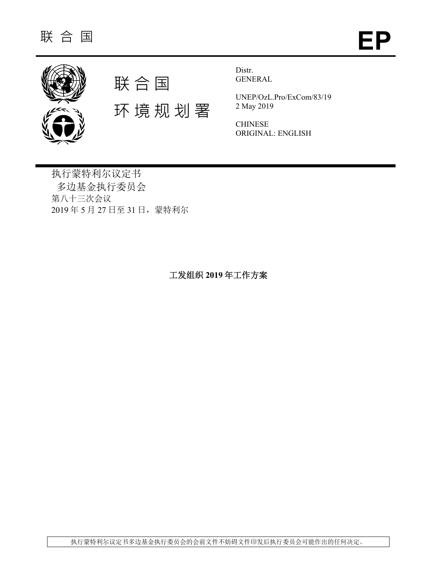



环 境 规 划 署

Distr. GENERAL

UNEP/OzL.Pro/ExCom/83/19 2 May 2019

CHINESE ORIGINAL: ENGLISH

执行蒙特利尔议定书 多边基金执行委员会 第八十三次会议 2019 年 5 月 27 日至 31 日,蒙特利尔

工发组织 **2019** 年工作方案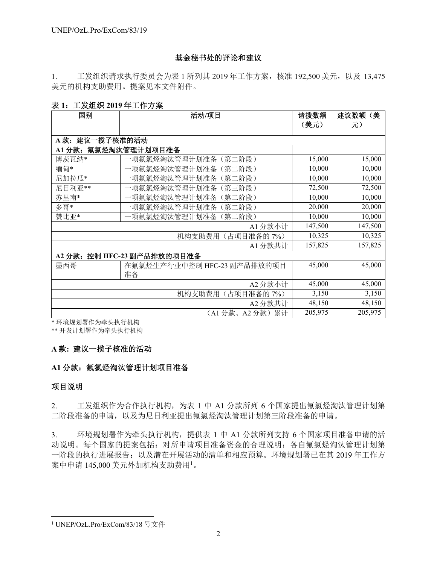# 基金秘书处的评论和建议

1. 工发组织请求执行委员会为表 1 所列其 2019 年工作方案,核准 192,500 美元,以及 13,475 美元的机构支助费用。提案见本文件附件。

### 表 **1**:工发组织 **2019** 年工作方案

| 国别                   | 活动/项目                       | 请拨数额    | (美<br>建议数额 |
|----------------------|-----------------------------|---------|------------|
|                      |                             | (美元)    | 元)         |
| A款: 建议一揽子核准的活动       |                             |         |            |
| A1 分款: 氟氯烃淘汰管理计划项目准备 |                             |         |            |
| 博茨瓦纳*                | 一项氟氯烃淘汰管理计划准备<br>(第二阶段)     | 15,000  | 15,000     |
| 缅甸*                  | 一项氟氯烃淘汰管理计划准备<br>(第二阶段)     | 10,000  | 10,000     |
| 尼加拉瓜*                | 一项氟氯烃淘汰管理计划准备<br>第二阶段)      | 10,000  | 10,000     |
| 尼日利亚**               | 一项氟氯烃淘汰管理计划准备<br>(第三阶段)     | 72,500  | 72,500     |
| 苏里南*                 | 一项氟氯烃淘汰管理计划准备<br>(第二阶段)     | 10,000  | 10,000     |
| 多哥*                  | 一项氟氯烃淘汰管理计划准备<br>(第二阶段)     | 20,000  | 20,000     |
| 赞比亚*                 | -项氟氯烃淘汰管理计划准备<br>〔第二阶段〕     | 10,000  | 10,000     |
|                      | 147,500                     | 147,500 |            |
|                      | 10,325                      | 10,325  |            |
|                      | A1 分款共计                     | 157,825 | 157,825    |
| A2 分款:               | 控制 HFC-23 副产品排放的项目准备        |         |            |
| 墨西哥                  | 在氟氯烃生产行业中控制 HFC-23 副产品排放的项目 | 45,000  | 45,000     |
|                      | 准备                          |         |            |
|                      | A2 分款小计                     | 45,000  | 45,000     |
|                      | 机构支助费用<br>(占项目准备的7%)        | 3,150   | 3,150      |
|                      | A2 分款共计                     | 48,150  | 48,150     |
|                      | (A1分款、A2分款)累计               | 205,975 | 205,975    |

\* 环境规划署作为牵头执行机构

\*\* 开发计划署作为牵头执行机构

# **A** 款**:** 建议一揽子核准的活动

# **A1** 分款:氟氯烃淘汰管理计划项目准备

### 项目说明

l

2. 工发组织作为合作执行机构,为表 1 中 A1 分款所列 6 个国家提出氟氯烃淘汰管理计划第 二阶段准备的申请,以及为尼日利亚提出氟氯烃淘汰管理计划第三阶段准备的申请。

3. 环境规划署作为牵头执行机构,提供表 1 中 A1 分款所列支持 6 个国家项目准备申请的活 动说明。每个国家的提案包括: 对所申请项目准备资金的合理说明; 各自氟氯烃淘汰管理计划第 一阶段的执行进展报告;以及潜在开展活动的清单和相应预算。环境规划署已在其 2019 年工作方 案中申请 145,000 美元外加机构支助费用<sup>1</sup> 。

<sup>1</sup> UNEP/OzL.Pro/ExCom/83/18 号文件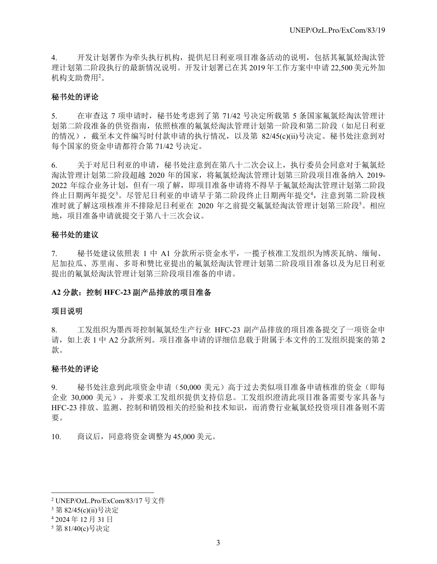4. 开发计划署作为牵头执行机构,提供尼日利亚项目准备活动的说明,包括其氟氯烃淘汰管 理计划第二阶段执行的最新情况说明。开发计划署已在其 2019 年工作方案中申请 22,500 美元外加 机构支助费用 $^2$ 。

### 秘书处的评论

5. 在审查这 7 项申请时,秘书处考虑到了第 71/42 号决定所载第 5 条国家氟氯烃淘汰管理计 划第二阶段准备的供资指南,依照核准的氟氯烃淘汰管理计划第一阶段和第二阶段(如尼日利亚 的情况),截至本文件编写时付款申请的执行情况,以及第 82/45(c)(ii)号决定。秘书处注意到对 每个国家的资金申请都符合第 71/42 号决定。

6. 关于对尼日利亚的申请,秘书处注意到在第八十二次会议上,执行委员会同意对于氟氯烃 淘汰管理计划第二阶段超越 2020 年的国家,将氟氯烃淘汰管理计划第三阶段项目准备纳入 2019- 2022 年综合业务计划,但有一项了解,即项目准备申请将不得早于氟氯烃淘汰管理计划第二阶段 终止日期两年提交3。尽管尼日利亚的申请早于第二阶段终止日期两年提交4, 注意到第二阶段核 准时就了解这项核准并不排除尼日利亚在 2020 年之前提交氟氯烃淘汰管理计划第三阶段5。相应 地,项目准备申请就提交于第八十三次会议。

### 秘书处的建议

7. 秘书处建议依照表 1 中 A1 分款所示资金水平,一揽子核准工发组织为博茨瓦纳、缅甸、 尼加拉瓜、苏里南、多哥和赞比亚提出的氟氯烃淘汰管理计划第二阶段项目准备以及为尼日利亚 提出的氟氯烃淘汰管理计划第三阶段项目准备的申请。

### **A2** 分款:控制 **HFC-23** 副产品排放的项目准备

#### 项目说明

8. 工发组织为墨西哥控制氟氯烃生产行业 HFC-23 副产品排放的项目准备提交了一项资金申 请,如上表 1 中 A2 分款所列。项目准备申请的详细信息载于附属于本文件的工发组织提案的第 2 款。

### 秘书处的评论

9. 秘书处注意到此项资金申请(50,000 美元)高于过去类似项目准备申请核准的资金(即每 企业 30,000 美元),并要求工发组织提供支持信息。工发组织澄清此项目准备需要专家具备与 HFC-23 排放、监测、控制和销毁相关的经验和技术知识,而消费行业氟氯烃投资项目准备则不需 要。

10. 商议后,同意将资金调整为 45,000 美元。

l

<sup>2</sup> UNEP/OzL.Pro/ExCom/83/17 号文件

<sup>3</sup> 第 82/45(c)(ii)号决定

<sup>4</sup> 2024 年 12 月 31 日

<sup>5</sup> 第 81/40(c)号决定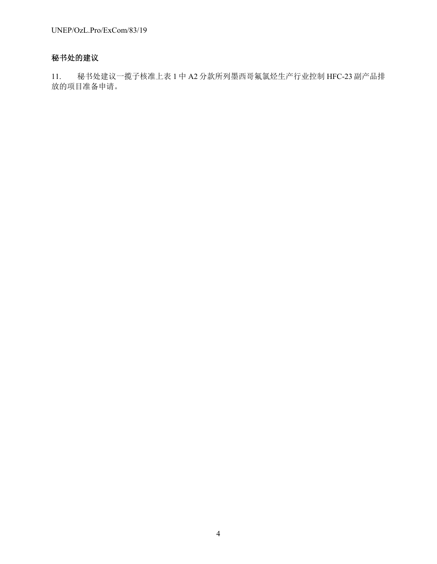# 秘书处的建议

11. 秘书处建议一揽子核准上表 1 中 A2 分款所列墨西哥氟氯烃生产行业控制 HFC-23 副产品排 放的项目准备申请。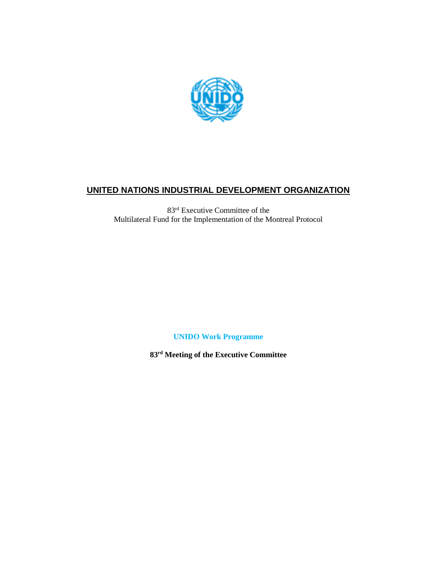

# **UNITED NATIONS INDUSTRIAL DEVELOPMENT ORGANIZATION**

83 rd Executive Committee of the Multilateral Fund for the Implementation of the Montreal Protocol

**UNIDO Work Programme**

**83 rd Meeting of the Executive Committee**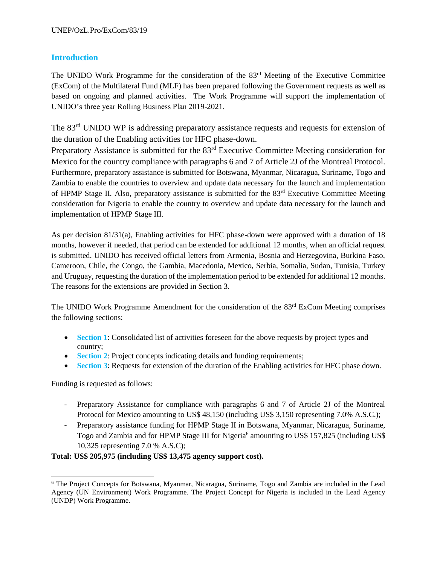## **Introduction**

The UNIDO Work Programme for the consideration of the  $83<sup>rd</sup>$  Meeting of the Executive Committee (ExCom) of the Multilateral Fund (MLF) has been prepared following the Government requests as well as based on ongoing and planned activities. The Work Programme will support the implementation of UNIDO's three year Rolling Business Plan 2019-2021.

The 83<sup>rd</sup> UNIDO WP is addressing preparatory assistance requests and requests for extension of the duration of the Enabling activities for HFC phase-down.

Preparatory Assistance is submitted for the 83<sup>rd</sup> Executive Committee Meeting consideration for Mexico for the country compliance with paragraphs 6 and 7 of Article 2J of the Montreal Protocol. Furthermore, preparatory assistance is submitted for Botswana, Myanmar, Nicaragua, Suriname, Togo and Zambia to enable the countries to overview and update data necessary for the launch and implementation of HPMP Stage II. Also, preparatory assistance is submitted for the 83rd Executive Committee Meeting consideration for Nigeria to enable the country to overview and update data necessary for the launch and implementation of HPMP Stage III.

As per decision 81/31(a), Enabling activities for HFC phase-down were approved with a duration of 18 months, however if needed, that period can be extended for additional 12 months, when an official request is submitted. UNIDO has received official letters from Armenia, Bosnia and Herzegovina, Burkina Faso, Cameroon, Chile, the Congo, the Gambia, Macedonia, Mexico, Serbia, Somalia, Sudan, Tunisia, Turkey and Uruguay, requesting the duration of the implementation period to be extended for additional 12 months. The reasons for the extensions are provided in Section 3.

The UNIDO Work Programme Amendment for the consideration of the 83<sup>rd</sup> ExCom Meeting comprises the following sections:

- **Section 1**: Consolidated list of activities foreseen for the above requests by project types and country;
- **Section 2**: Project concepts indicating details and funding requirements;
- **Section 3**: Requests for extension of the duration of the Enabling activities for HFC phase down.

Funding is requested as follows:

 $\overline{a}$ 

- Preparatory Assistance for compliance with paragraphs 6 and 7 of Article 2J of the Montreal Protocol for Mexico amounting to US\$ 48,150 (including US\$ 3,150 representing 7.0% A.S.C.);
- Preparatory assistance funding for HPMP Stage II in Botswana, Myanmar, Nicaragua, Suriname, Togo and Zambia and for HPMP Stage III for Nigeria<sup>6</sup> amounting to US\$ 157,825 (including US\$ 10,325 representing 7.0 % A.S.C);

**Total: US\$ 205,975 (including US\$ 13,475 agency support cost).**

<sup>6</sup> The Project Concepts for Botswana, Myanmar, Nicaragua, Suriname, Togo and Zambia are included in the Lead Agency (UN Environment) Work Programme. The Project Concept for Nigeria is included in the Lead Agency (UNDP) Work Programme.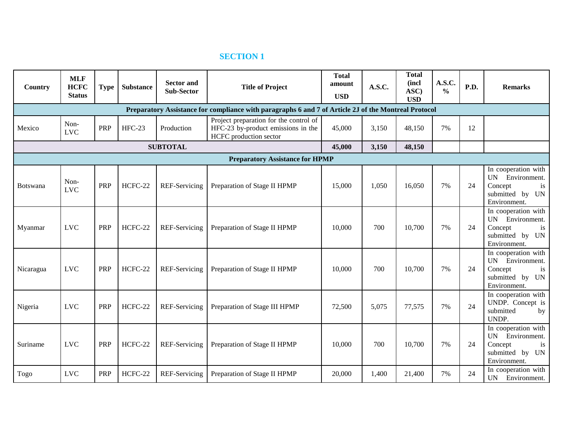# **SECTION 1**

| Country   | <b>MLF</b><br><b>HCFC</b><br><b>Status</b> | <b>Type</b> | <b>Substance</b> | <b>Sector and</b><br><b>Sub-Sector</b> | <b>Title of Project</b>                                                                                | <b>Total</b><br>amount<br><b>USD</b> | A.S.C. | <b>Total</b><br>(incl<br>ASC)<br><b>USD</b> | A.S.C.<br>$\frac{0}{0}$ | P.D. | <b>Remarks</b>                                                                                       |
|-----------|--------------------------------------------|-------------|------------------|----------------------------------------|--------------------------------------------------------------------------------------------------------|--------------------------------------|--------|---------------------------------------------|-------------------------|------|------------------------------------------------------------------------------------------------------|
|           |                                            |             |                  |                                        | Preparatory Assistance for compliance with paragraphs 6 and 7 of Article 2J of the Montreal Protocol   |                                      |        |                                             |                         |      |                                                                                                      |
| Mexico    | Non-<br><b>LVC</b>                         | PRP         | <b>HFC-23</b>    | Production                             | Project preparation for the control of<br>HFC-23 by-product emissions in the<br>HCFC production sector | 45,000                               | 3,150  | 48,150                                      | 7%                      | 12   |                                                                                                      |
|           |                                            |             |                  | <b>SUBTOTAL</b>                        |                                                                                                        | 45,000                               | 3,150  | 48,150                                      |                         |      |                                                                                                      |
|           |                                            |             |                  |                                        | <b>Preparatory Assistance for HPMP</b>                                                                 |                                      |        |                                             |                         |      |                                                                                                      |
| Botswana  | Non-<br><b>LVC</b>                         | <b>PRP</b>  | HCFC-22          | REF-Servicing                          | Preparation of Stage II HPMP                                                                           | 15,000                               | 1,050  | 16,050                                      | 7%                      | 24   | In cooperation with<br>UN Environment.<br>Concept<br>is<br>submitted by<br><b>UN</b><br>Environment. |
| Myanmar   | <b>LVC</b>                                 | <b>PRP</b>  | HCFC-22          | REF-Servicing                          | Preparation of Stage II HPMP                                                                           | 10,000                               | 700    | 10,700                                      | 7%                      | 24   | In cooperation with<br>UN Environment.<br>Concept<br>is<br>submitted by<br><b>UN</b><br>Environment. |
| Nicaragua | <b>LVC</b>                                 | <b>PRP</b>  | HCFC-22          | REF-Servicing                          | Preparation of Stage II HPMP                                                                           | 10,000                               | 700    | 10,700                                      | 7%                      | 24   | In cooperation with<br>UN Environment.<br>Concept<br>is<br>submitted by<br><b>UN</b><br>Environment. |
| Nigeria   | <b>LVC</b>                                 | <b>PRP</b>  | HCFC-22          | REF-Servicing                          | Preparation of Stage III HPMP                                                                          | 72,500                               | 5,075  | 77,575                                      | 7%                      | 24   | In cooperation with<br>UNDP. Concept is<br>submitted<br>by<br>UNDP.                                  |
| Suriname  | <b>LVC</b>                                 | <b>PRP</b>  | HCFC-22          | REF-Servicing                          | Preparation of Stage II HPMP                                                                           | 10,000                               | 700    | 10,700                                      | 7%                      | 24   | In cooperation with<br>UN Environment.<br>Concept<br>is<br>submitted by<br><b>UN</b><br>Environment. |
| Togo      | <b>LVC</b>                                 | PRP         | HCFC-22          | REF-Servicing                          | Preparation of Stage II HPMP                                                                           | 20,000                               | 1,400  | 21,400                                      | 7%                      | 24   | In cooperation with<br>UN Environment.                                                               |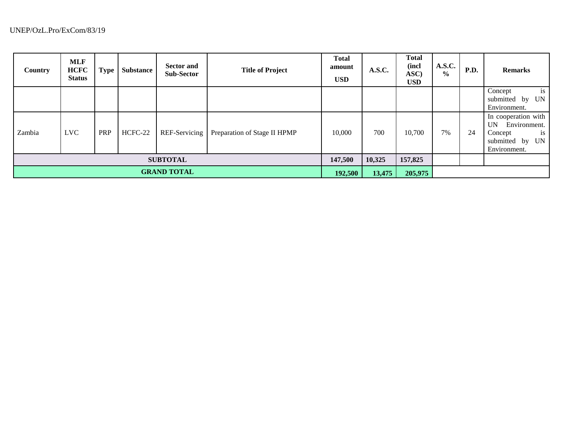| <b>Country</b>     | <b>MLF</b><br><b>HCFC</b><br><b>Status</b> | <b>Type</b> | <b>Substance</b> | <b>Sector and</b><br><b>Sub-Sector</b> | <b>Title of Project</b>      | <b>Total</b><br>amount<br><b>USD</b> | A.S.C.  | <b>Total</b><br>(incl<br>ASC)<br><b>USD</b> | A.S.C.<br>$\frac{0}{0}$ | P.D. | <b>Remarks</b>                                                                                                   |
|--------------------|--------------------------------------------|-------------|------------------|----------------------------------------|------------------------------|--------------------------------------|---------|---------------------------------------------|-------------------------|------|------------------------------------------------------------------------------------------------------------------|
|                    |                                            |             |                  |                                        |                              |                                      |         |                                             |                         |      | is<br>Concept<br>by UN<br>submitted<br>Environment.                                                              |
| Zambia             | <b>LVC</b>                                 | PRP         | HCFC-22          | REF-Servicing                          | Preparation of Stage II HPMP | 10,000                               | 700     | 10,700                                      | 7%                      | 24   | In cooperation with<br>Environment.<br><b>UN</b><br>$\mathbf{1}$ s<br>Concept<br>submitted by UN<br>Environment. |
| <b>SUBTOTAL</b>    |                                            |             |                  |                                        |                              | 147,500                              | 10,325  | 157,825                                     |                         |      |                                                                                                                  |
| <b>GRAND TOTAL</b> |                                            |             |                  |                                        | 192,500                      | 13,475                               | 205,975 |                                             |                         |      |                                                                                                                  |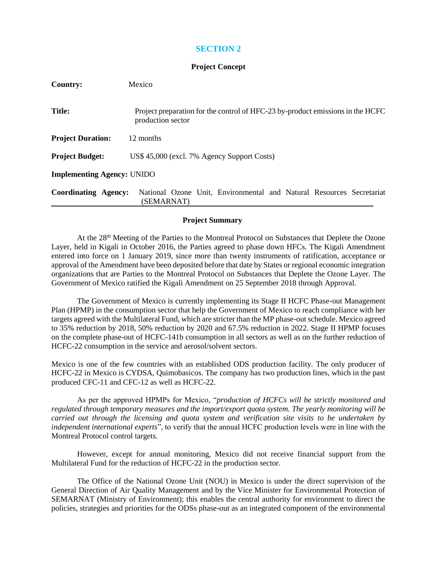## **SECTION 2**

### **Project Concept**

| Country:                          | Mexico                                                                                              |
|-----------------------------------|-----------------------------------------------------------------------------------------------------|
| <b>Title:</b>                     | Project preparation for the control of HFC-23 by-product emissions in the HCFC<br>production sector |
| <b>Project Duration:</b>          | 12 months                                                                                           |
| <b>Project Budget:</b>            | US\$ 45,000 (excl. 7% Agency Support Costs)                                                         |
| <b>Implementing Agency: UNIDO</b> |                                                                                                     |
| <b>Coordinating Agency:</b>       | National Ozone Unit, Environmental and Natural Resources Secretariat<br>(SEMARNAT)                  |

### **Project Summary**

At the 28<sup>th</sup> Meeting of the Parties to the Montreal Protocol on Substances that Deplete the Ozone Layer, held in Kigali in October 2016, the Parties agreed to phase down HFCs. The Kigali Amendment entered into force on 1 January 2019, since more than twenty instruments of ratification, acceptance or approval of the Amendment have been deposited before that date by States or regional economic integration organizations that are Parties to the Montreal Protocol on Substances that Deplete the Ozone Layer. The Government of Mexico ratified the Kigali Amendment on 25 September 2018 through Approval.

The Government of Mexico is currently implementing its Stage II HCFC Phase-out Management Plan (HPMP) in the consumption sector that help the Government of Mexico to reach compliance with her targets agreed with the Multilateral Fund, which are stricter than the MP phase-out schedule. Mexico agreed to 35% reduction by 2018, 50% reduction by 2020 and 67.5% reduction in 2022. Stage II HPMP focuses on the complete phase-out of HCFC-141b consumption in all sectors as well as on the further reduction of HCFC-22 consumption in the service and aerosol/solvent sectors.

Mexico is one of the few countries with an established ODS production facility. The only producer of HCFC-22 in Mexico is CYDSA, Quimobasicos. The company has two production lines, which in the past produced CFC-11 and CFC-12 as well as HCFC-22.

As per the approved HPMPs for Mexico, "*production of HCFCs will be strictly monitored and regulated through temporary measures and the import/export quota system. The yearly monitoring will be carried out through the licensing and quota system and verification site visits to be undertaken by independent international experts*", to verify that the annual HCFC production levels were in line with the Montreal Protocol control targets.

However, except for annual monitoring, Mexico did not receive financial support from the Multilateral Fund for the reduction of HCFC-22 in the production sector.

The Office of the National Ozone Unit (NOU) in Mexico is under the direct supervision of the General Direction of Air Quality Management and by the Vice Minister for Environmental Protection of SEMARNAT (Ministry of Environment); this enables the central authority for environment to direct the policies, strategies and priorities for the ODSs phase-out as an integrated component of the environmental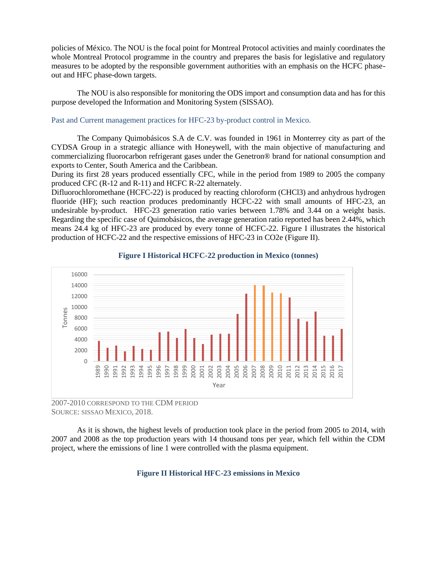policies of México. The NOU is the focal point for Montreal Protocol activities and mainly coordinates the whole Montreal Protocol programme in the country and prepares the basis for legislative and regulatory measures to be adopted by the responsible government authorities with an emphasis on the HCFC phaseout and HFC phase-down targets.

The NOU is also responsible for monitoring the ODS import and consumption data and has for this purpose developed the Information and Monitoring System (SISSAO).

#### Past and Current management practices for HFC-23 by-product control in Mexico.

The Company Quimobásicos S.A de C.V. was founded in 1961 in Monterrey city as part of the CYDSA Group in a strategic alliance with Honeywell, with the main objective of manufacturing and commercializing fluorocarbon refrigerant gases under the Genetron® brand for national consumption and exports to Center, South America and the Caribbean.

During its first 28 years produced essentially CFC, while in the period from 1989 to 2005 the company produced CFC (R-12 and R-11) and HCFC R-22 alternately.

Difluorochloromethane (HCFC-22) is produced by reacting chloroform (CHCl3) and anhydrous hydrogen fluoride (HF); such reaction produces predominantly HCFC-22 with small amounts of HFC-23, an undesirable by-product. HFC-23 generation ratio varies between 1.78% and 3.44 on a weight basis. Regarding the specific case of Quimobásicos, the average generation ratio reported has been 2.44%, which means 24.4 kg of HFC-23 are produced by every tonne of HCFC-22. [Figure I](#page-9-0) illustrates the historical production of HCFC-22 and the respective emissions of HFC-23 in CO2e [\(Figure II\)](#page-9-1).

<span id="page-9-0"></span>

#### **Figure I Historical HCFC-22 production in Mexico (tonnes)**

2007-2010 CORRESPOND TO THE CDM PERIOD SOURCE: SISSAO MEXICO, 2018.

<span id="page-9-1"></span>As it is shown, the highest levels of production took place in the period from 2005 to 2014, with 2007 and 2008 as the top production years with 14 thousand tons per year, which fell within the CDM project, where the emissions of line 1 were controlled with the plasma equipment.

#### **Figure II Historical HFC-23 emissions in Mexico**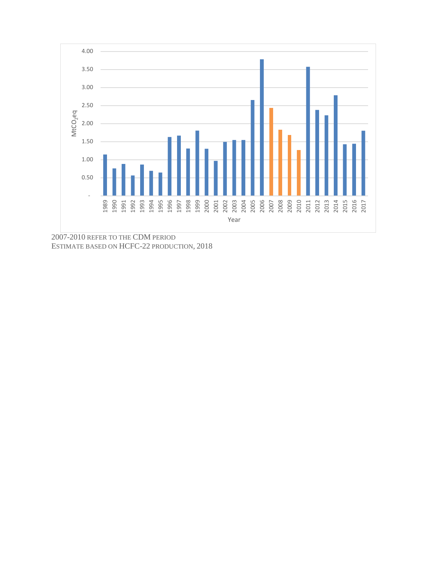

2007-2010 REFER TO THE CDM PERIOD ESTIMATE BASED ON HCFC-22 PRODUCTION, 2018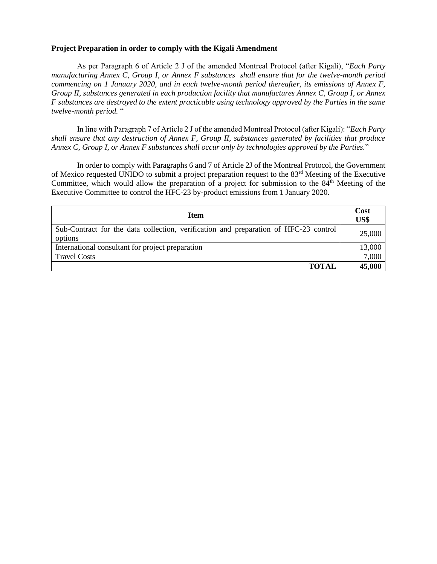### **Project Preparation in order to comply with the Kigali Amendment**

As per Paragraph 6 of Article 2 J of the amended Montreal Protocol (after Kigali), "*Each Party manufacturing Annex C, Group I, or Annex F substances shall ensure that for the twelve-month period commencing on 1 January 2020, and in each twelve-month period thereafter, its emissions of Annex F, Group II, substances generated in each production facility that manufactures Annex C, Group I, or Annex F substances are destroyed to the extent practicable using technology approved by the Parties in the same twelve-month period.* "

In line with Paragraph 7 of Article 2 J of the amended Montreal Protocol (after Kigali): "*Each Party shall ensure that any destruction of Annex F, Group II, substances generated by facilities that produce Annex C, Group I, or Annex F substances shall occur only by technologies approved by the Parties.*"

In order to comply with Paragraphs 6 and 7 of Article 2J of the Montreal Protocol, the Government of Mexico requested UNIDO to submit a project preparation request to the 83rd Meeting of the Executive Committee, which would allow the preparation of a project for submission to the 84<sup>th</sup> Meeting of the Executive Committee to control the HFC-23 by-product emissions from 1 January 2020.

| <b>Item</b>                                                                                     | Cost<br>US\$ |
|-------------------------------------------------------------------------------------------------|--------------|
| Sub-Contract for the data collection, verification and preparation of HFC-23 control<br>options | 25,000       |
| International consultant for project preparation                                                | 13,000       |
| <b>Travel Costs</b>                                                                             | 7,000        |
| <b>TOTAL</b>                                                                                    | 45,000       |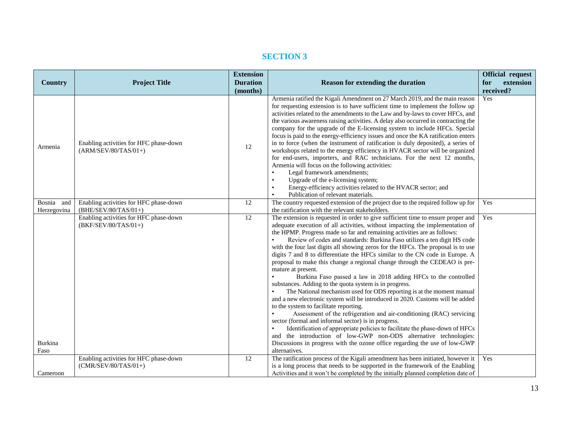# **SECTION 3**

|                |                                        | <b>Extension</b> |                                                                                                    | <b>Official request</b> |
|----------------|----------------------------------------|------------------|----------------------------------------------------------------------------------------------------|-------------------------|
| <b>Country</b> | <b>Project Title</b>                   | <b>Duration</b>  | <b>Reason for extending the duration</b>                                                           | extension<br>for        |
|                |                                        | (months)         |                                                                                                    | received?               |
|                |                                        |                  | Armenia ratified the Kigali Amendment on 27 March 2019, and the main reason                        | Yes                     |
|                |                                        |                  | for requesting extension is to have sufficient time to implement the follow up                     |                         |
|                |                                        |                  | activities related to the amendments to the Law and by-laws to cover HFCs, and                     |                         |
|                |                                        |                  | the various awareness raising activities. A delay also occurred in contracting the                 |                         |
|                |                                        |                  | company for the upgrade of the E-licensing system to include HFCs. Special                         |                         |
|                |                                        |                  | focus is paid to the energy-efficiency issues and once the KA ratification enters                  |                         |
|                | Enabling activities for HFC phase-down |                  | in to force (when the instrument of ratification is duly deposited), a series of                   |                         |
| Armenia        | $(ARM/SEV/80/TAS/01+)$                 | 12               | workshops related to the energy efficiency in HVACR sector will be organized                       |                         |
|                |                                        |                  | for end-users, importers, and RAC technicians. For the next 12 months,                             |                         |
|                |                                        |                  | Armenia will focus on the following activities:                                                    |                         |
|                |                                        |                  | Legal framework amendments;<br>$\bullet$                                                           |                         |
|                |                                        |                  | Upgrade of the e-licensing system;<br>$\bullet$                                                    |                         |
|                |                                        |                  | Energy-efficiency activities related to the HVACR sector; and                                      |                         |
|                |                                        |                  | Publication of relevant materials.                                                                 |                         |
| Bosnia and     | Enabling activities for HFC phase-down | 12               | The country requested extension of the project due to the required follow up for                   | Yes                     |
| Herzegovina    | $(BHE/SEV/80/TAS/01+)$                 |                  | the ratification with the relevant stakeholders.                                                   |                         |
|                | Enabling activities for HFC phase-down | 12               | The extension is requested in order to give sufficient time to ensure proper and                   | Yes                     |
|                | (BKF/SEV/80/TAS/01+)                   |                  | adequate execution of all activities, without impacting the implementation of                      |                         |
|                |                                        |                  | the HPMP. Progress made so far and remaining activities are as follows:                            |                         |
|                |                                        |                  | Review of codes and standards: Burkina Faso utilizes a ten digit HS code                           |                         |
|                |                                        |                  | with the four last digits all showing zeros for the HFCs. The proposal is to use                   |                         |
|                |                                        |                  | digits 7 and 8 to differentiate the HFCs similar to the CN code in Europe. A                       |                         |
|                |                                        |                  | proposal to make this change a regional change through the CEDEAO is pre-                          |                         |
|                |                                        |                  | mature at present.<br>Burkina Faso passed a law in 2018 adding HFCs to the controlled<br>$\bullet$ |                         |
|                |                                        |                  | substances. Adding to the quota system is in progress.                                             |                         |
|                |                                        |                  | The National mechanism used for ODS reporting is at the moment manual                              |                         |
|                |                                        |                  | and a new electronic system will be introduced in 2020. Customs will be added                      |                         |
|                |                                        |                  | to the system to facilitate reporting.                                                             |                         |
|                |                                        |                  | Assessment of the refrigeration and air-conditioning (RAC) servicing                               |                         |
|                |                                        |                  | sector (formal and informal sector) is in progress.                                                |                         |
|                |                                        |                  | Identification of appropriate policies to facilitate the phase-down of HFCs                        |                         |
|                |                                        |                  | and the introduction of low-GWP non-ODS alternative technologies:                                  |                         |
| Burkina        |                                        |                  | Discussions in progress with the ozone office regarding the use of low-GWP                         |                         |
| Faso           |                                        |                  | alternatives.                                                                                      |                         |
|                | Enabling activities for HFC phase-down | 12               | The ratification process of the Kigali amendment has been initiated, however it                    | Yes                     |
|                | $(CMR/SEV/80/TAS/01+)$                 |                  | is a long process that needs to be supported in the framework of the Enabling                      |                         |
| Cameroon       |                                        |                  | Activities and it won't be completed by the initially planned completion date of                   |                         |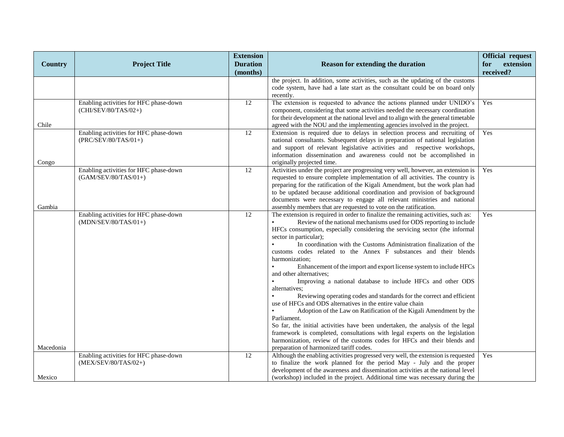|                |                                                                  | <b>Extension</b> |                                                                                                                                                                   | <b>Official request</b> |
|----------------|------------------------------------------------------------------|------------------|-------------------------------------------------------------------------------------------------------------------------------------------------------------------|-------------------------|
| <b>Country</b> | <b>Project Title</b>                                             | <b>Duration</b>  | <b>Reason for extending the duration</b>                                                                                                                          | extension<br>for        |
|                |                                                                  | (months)         |                                                                                                                                                                   | received?               |
|                |                                                                  |                  | the project. In addition, some activities, such as the updating of the customs                                                                                    |                         |
|                |                                                                  |                  | code system, have had a late start as the consultant could be on board only                                                                                       |                         |
|                | Enabling activities for HFC phase-down                           | $\overline{12}$  | recently.<br>The extension is requested to advance the actions planned under UNIDO's                                                                              | Yes                     |
|                | (CHI/SEV/80/TAS/02+)                                             |                  | component, considering that some activities needed the necessary coordination                                                                                     |                         |
|                |                                                                  |                  | for their development at the national level and to align with the general timetable                                                                               |                         |
| Chile          |                                                                  |                  | agreed with the NOU and the implementing agencies involved in the project.                                                                                        |                         |
|                | Enabling activities for HFC phase-down                           | $\overline{12}$  | Extension is required due to delays in selection process and recruiting of                                                                                        | Yes                     |
|                | (PRC/SEV/80/TAS/01+)                                             |                  | national consultants. Subsequent delays in preparation of national legislation                                                                                    |                         |
|                |                                                                  |                  | and support of relevant legislative activities and respective workshops,                                                                                          |                         |
|                |                                                                  |                  | information dissemination and awareness could not be accomplished in                                                                                              |                         |
| Congo          |                                                                  |                  | originally projected time.                                                                                                                                        |                         |
|                | Enabling activities for HFC phase-down<br>$(GAM/SEV/80/TAS/01+)$ | 12               | Activities under the project are progressing very well, however, an extension is<br>requested to ensure complete implementation of all activities. The country is | Yes                     |
|                |                                                                  |                  | preparing for the ratification of the Kigali Amendment, but the work plan had                                                                                     |                         |
|                |                                                                  |                  | to be updated because additional coordination and provision of background                                                                                         |                         |
|                |                                                                  |                  | documents were necessary to engage all relevant ministries and national                                                                                           |                         |
| Gambia         |                                                                  |                  | assembly members that are requested to vote on the ratification.                                                                                                  |                         |
|                | Enabling activities for HFC phase-down                           | 12               | The extension is required in order to finalize the remaining activities, such as:                                                                                 | Yes                     |
|                | $(MDN/SEV/80/TAS/01+)$                                           |                  | Review of the national mechanisms used for ODS reporting to include                                                                                               |                         |
|                |                                                                  |                  | HFCs consumption, especially considering the servicing sector (the informal                                                                                       |                         |
|                |                                                                  |                  | sector in particular);                                                                                                                                            |                         |
|                |                                                                  |                  | $\bullet$<br>In coordination with the Customs Administration finalization of the<br>customs codes related to the Annex F substances and their blends              |                         |
|                |                                                                  |                  | harmonization;                                                                                                                                                    |                         |
|                |                                                                  |                  | Enhancement of the import and export license system to include HFCs<br>$\bullet$                                                                                  |                         |
|                |                                                                  |                  | and other alternatives:                                                                                                                                           |                         |
|                |                                                                  |                  | Improving a national database to include HFCs and other ODS                                                                                                       |                         |
|                |                                                                  |                  | alternatives;                                                                                                                                                     |                         |
|                |                                                                  |                  | Reviewing operating codes and standards for the correct and efficient<br>$\bullet$                                                                                |                         |
|                |                                                                  |                  | use of HFCs and ODS alternatives in the entire value chain                                                                                                        |                         |
|                |                                                                  |                  | Adoption of the Law on Ratification of the Kigali Amendment by the<br>Parliament.                                                                                 |                         |
|                |                                                                  |                  | So far, the initial activities have been undertaken, the analysis of the legal                                                                                    |                         |
|                |                                                                  |                  | framework is completed, consultations with legal experts on the legislation                                                                                       |                         |
|                |                                                                  |                  | harmonization, review of the customs codes for HFCs and their blends and                                                                                          |                         |
| Macedonia      |                                                                  |                  | preparation of harmonized tariff codes.                                                                                                                           |                         |
|                | Enabling activities for HFC phase-down                           | 12               | Although the enabling activities progressed very well, the extension is requested                                                                                 | Yes                     |
|                | (MEX/SEV/80/TAS/02+)                                             |                  | to finalize the work planned for the period May - July and the proper                                                                                             |                         |
|                |                                                                  |                  | development of the awareness and dissemination activities at the national level                                                                                   |                         |
| Mexico         |                                                                  |                  | (workshop) included in the project. Additional time was necessary during the                                                                                      |                         |